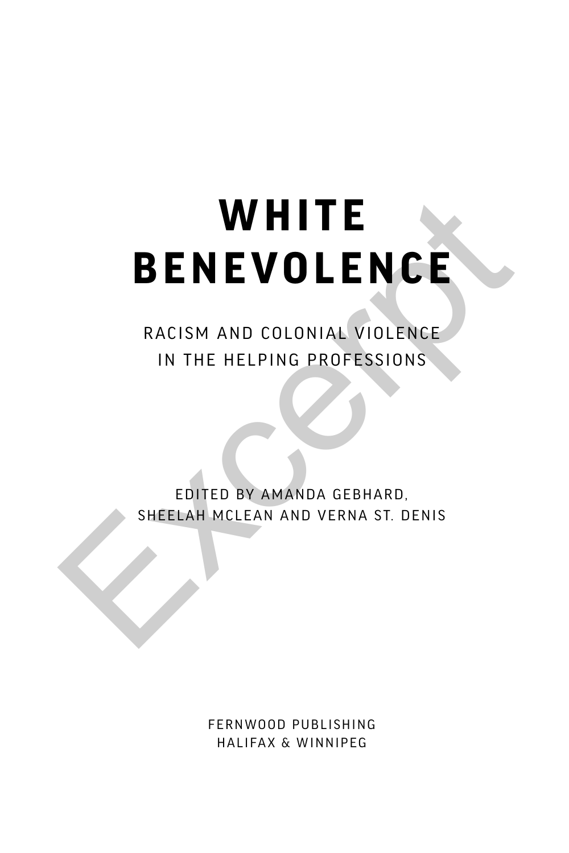# **W H I T E BENEVOLENCE** WHITE<br>BENEVOLENCE

RACISM AND COLONIAL VIOLENCE IN THE HELPING PROFESSIONS

EDITED BY AMANDA GEBHARD, SHEELAH MCLEAN AND VERNA ST. DENIS

> FERNWOOD PUBLISHING HALIFAX & WINNIPEG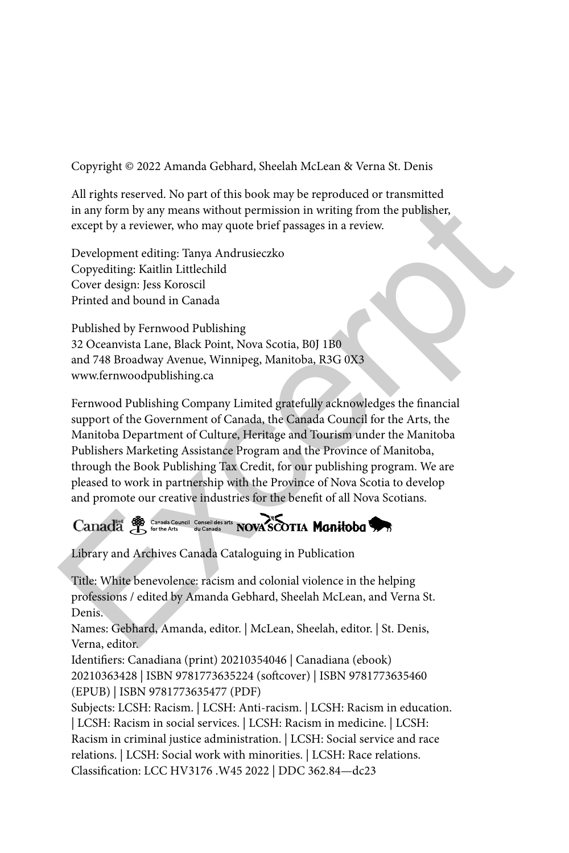Copyright © 2022 Amanda Gebhard, Sheelah McLean & Verna St. Denis

All rights reserved. No part of this book may be reproduced or transmitted in any form by any means without permission in writing from the publisher, except by a reviewer, who may quote brief passages in a review.

Development editing: Tanya Andrusieczko Copyediting: Kaitlin Littlechild Cover design: Jess Koroscil Printed and bound in Canada

Published by Fernwood Publishing 32 Oceanvista Lane, Black Point, Nova Scotia, B0J 1B0 and 748 Broadway Avenue, Winnipeg, Manitoba, R3G 0X3 www.fernwoodpublishing.ca

Fernwood Publishing Company Limited gratefully acknowledges the financial support of the Government of Canada, the Canada Council for the Arts, the Manitoba Department of Culture, Heritage and Tourism under the Manitoba Publishers Marketing Assistance Program and the Province of Manitoba, through the Book Publishing Tax Credit, for our publishing program. We are pleased to work in partnership with the Province of Nova Scotia to develop and promote our creative industries for the benefit of all Nova Scotians. All rights reserved. No part of this book may be reproduced or frammlined<br>any form by any means without permission in writing from the publisher,<br>except by a reviewer, who may quote brief passages in a review.<br>Development

Library and Archives Canada Cataloguing in Publication

Title: White benevolence: racism and colonial violence in the helping professions / edited by Amanda Gebhard, Sheelah McLean, and Verna St. Denis.

Names: Gebhard, Amanda, editor. | McLean, Sheelah, editor. | St. Denis, Verna, editor.

Identifiers: Canadiana (print) 20210354046 | Canadiana (ebook) 20210363428 | ISBN 9781773635224 (softcover) | ISBN 9781773635460 (EPUB) | ISBN 9781773635477 (PDF)

Subjects: LCSH: Racism. | LCSH: Anti-racism. | LCSH: Racism in education. | LCSH: Racism in social services. | LCSH: Racism in medicine. | LCSH: Racism in criminal justice administration. | LCSH: Social service and race relations. | LCSH: Social work with minorities. | LCSH: Race relations. Classification: LCC HV3176 .W45 2022 | DDC 362.84—dc23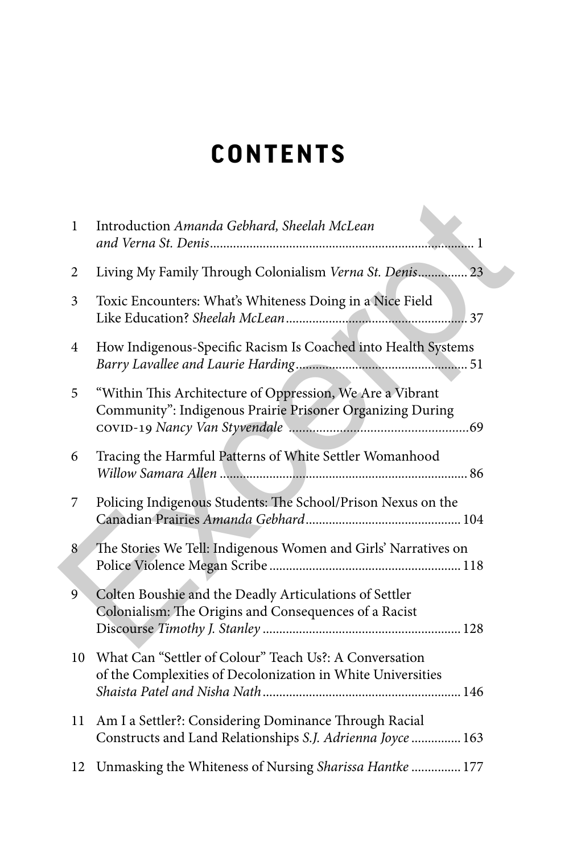# **CONTENTS**

| 1  | Introduction Amanda Gebhard, Sheelah McLean                                                                            |
|----|------------------------------------------------------------------------------------------------------------------------|
| 2  | Living My Family Through Colonialism Verna St. Denis 23                                                                |
| 3  | Toxic Encounters: What's Whiteness Doing in a Nice Field                                                               |
| 4  | How Indigenous-Specific Racism Is Coached into Health Systems                                                          |
| 5  | "Within This Architecture of Oppression, We Are a Vibrant<br>Community": Indigenous Prairie Prisoner Organizing During |
| 6  | Tracing the Harmful Patterns of White Settler Womanhood                                                                |
| 7  | Policing Indigenous Students: The School/Prison Nexus on the                                                           |
| 8  | The Stories We Tell: Indigenous Women and Girls' Narratives on                                                         |
| 9  | Colten Boushie and the Deadly Articulations of Settler<br>Colonialism: The Origins and Consequences of a Racist        |
| 10 | What Can "Settler of Colour" Teach Us?: A Conversation<br>of the Complexities of Decolonization in White Universities  |
| 11 | Am I a Settler?: Considering Dominance Through Racial<br>Constructs and Land Relationships S.J. Adrienna Joyce  163    |
| 12 | Unmasking the Whiteness of Nursing Sharissa Hantke  177                                                                |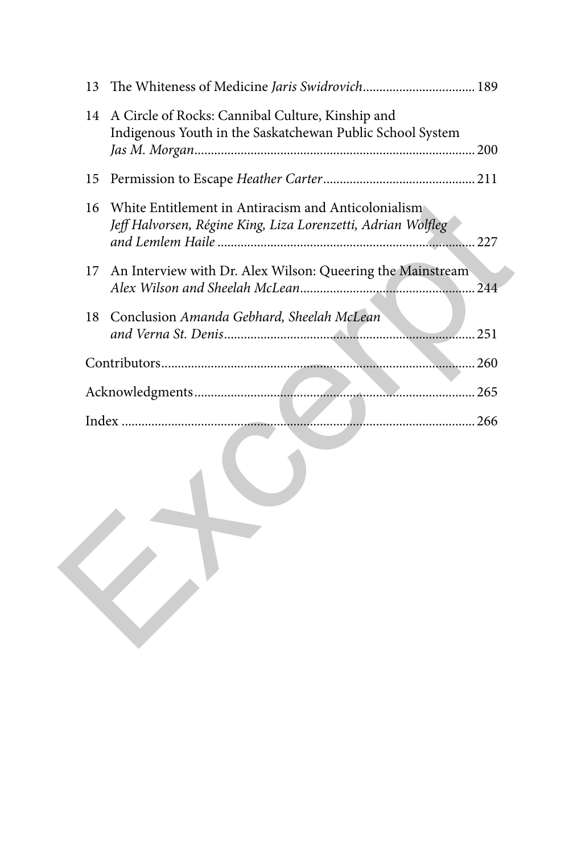| 13 | The Whiteness of Medicine Jaris Swidrovich 189                                                                      |  |
|----|---------------------------------------------------------------------------------------------------------------------|--|
| 14 | A Circle of Rocks: Cannibal Culture, Kinship and<br>Indigenous Youth in the Saskatchewan Public School System       |  |
| 15 |                                                                                                                     |  |
| 16 | White Entitlement in Antiracism and Anticolonialism<br>Jeff Halvorsen, Régine King, Liza Lorenzetti, Adrian Wolfleg |  |
| 17 | An Interview with Dr. Alex Wilson: Queering the Mainstream                                                          |  |
| 18 | Conclusion Amanda Gebhard, Sheelah McLean                                                                           |  |
|    |                                                                                                                     |  |
|    |                                                                                                                     |  |
|    |                                                                                                                     |  |
|    |                                                                                                                     |  |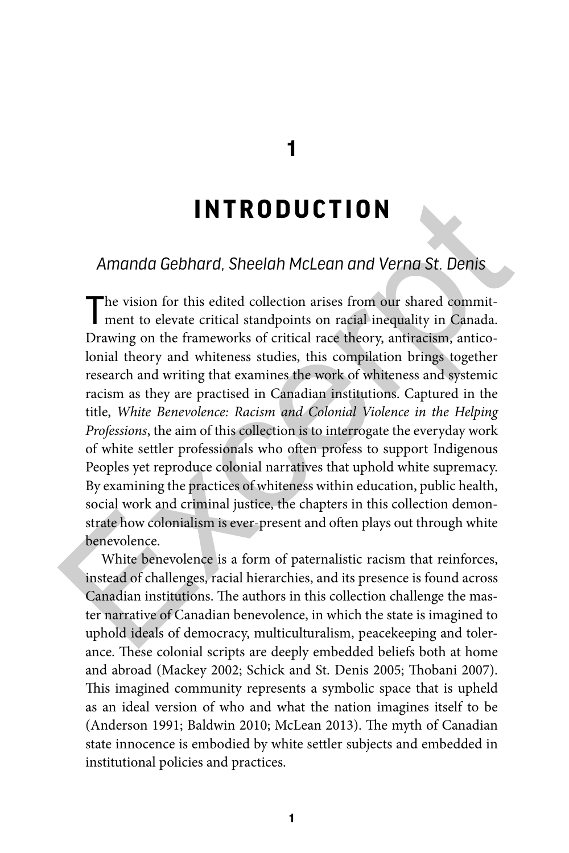**1**

# **INTRODUCTION**

## *Amanda Gebhard, Sheelah McLean and Verna St. Denis*

The vision for this edited collection arises from our shared commit-<br>ment to elevate critical standpoints on racial inequality in Canada. Drawing on the frameworks of critical race theory, antiracism, anticolonial theory and whiteness studies, this compilation brings together research and writing that examines the work of whiteness and systemic racism as they are practised in Canadian institutions. Captured in the title, *White Benevolence: Racism and Colonial Violence in the Helping Professions*, the aim of this collection is to interrogate the everyday work of white settler professionals who often profess to support Indigenous Peoples yet reproduce colonial narratives that uphold white supremacy. By examining the practices of whiteness within education, public health, social work and criminal justice, the chapters in this collection demonstrate how colonialism is ever-present and often plays out through white benevolence. **INTRODUCTION**<br> **Amanda Gebhard, Sheelah McLean and Verna St. Denis**<br> **The vision for this edited collection arises from our shared commitment to elevate critical standpoints on racial inequality in Canada.<br>
Drawing on the** 

White benevolence is a form of paternalistic racism that reinforces, instead of challenges, racial hierarchies, and its presence is found across Canadian institutions. The authors in this collection challenge the master narrative of Canadian benevolence, in which the state is imagined to uphold ideals of democracy, multiculturalism, peacekeeping and tolerance. These colonial scripts are deeply embedded beliefs both at home and abroad (Mackey 2002; Schick and St. Denis 2005; Thobani 2007). This imagined community represents a symbolic space that is upheld as an ideal version of who and what the nation imagines itself to be (Anderson 1991; Baldwin 2010; McLean 2013). The myth of Canadian state innocence is embodied by white settler subjects and embedded in institutional policies and practices.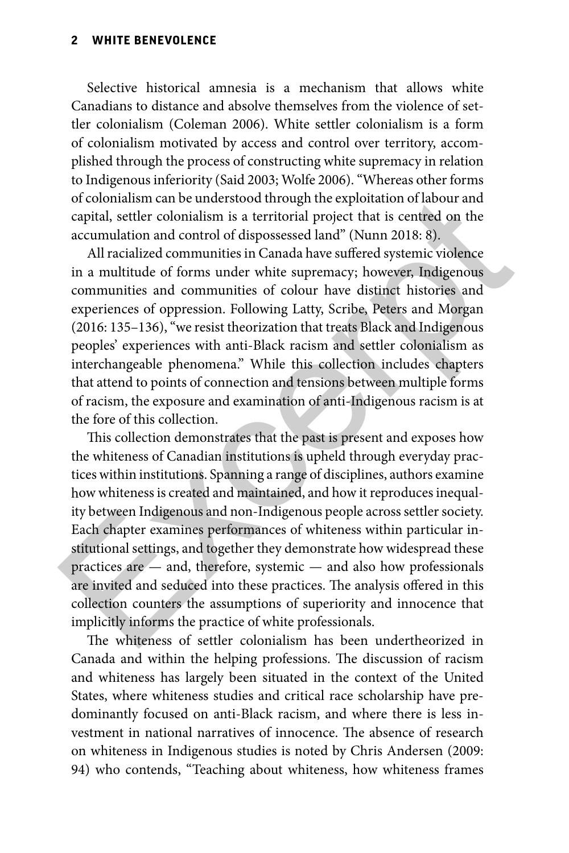### **2 White Benevolence**

Selective historical amnesia is a mechanism that allows white Canadians to distance and absolve themselves from the violence of settler colonialism (Coleman 2006). White settler colonialism is a form of colonialism motivated by access and control over territory, accomplished through the process of constructing white supremacy in relation to Indigenous inferiority (Said 2003; Wolfe 2006). "Whereas other forms of colonialism can be understood through the exploitation of labour and capital, settler colonialism is a territorial project that is centred on the accumulation and control of dispossessed land" (Nunn 2018: 8).

All racialized communities in Canada have suffered systemic violence in a multitude of forms under white supremacy; however, Indigenous communities and communities of colour have distinct histories and experiences of oppression. Following Latty, Scribe, Peters and Morgan (2016: 135–136), "we resist theorization that treats Black and Indigenous peoples' experiences with anti-Black racism and settler colonialism as interchangeable phenomena." While this collection includes chapters that attend to points of connection and tensions between multiple forms of racism, the exposure and examination of anti-Indigenous racism is at the fore of this collection.

This collection demonstrates that the past is present and exposes how the whiteness of Canadian institutions is upheld through everyday practices within institutions. Spanning a range of disciplines, authors examine how whiteness is created and maintained, and how it reproduces inequality between Indigenous and non-Indigenous people across settler society. Each chapter examines performances of whiteness within particular institutional settings, and together they demonstrate how widespread these practices are — and, therefore, systemic — and also how professionals are invited and seduced into these practices. The analysis offered in this collection counters the assumptions of superiority and innocence that implicitly informs the practice of white professionals. of colonialism can be understood through the exploitation of labour and<br>capital, settler colonialism is a territorial project that is centred on the<br>ecumulation and control of dispossessed land" (Nunn 2018: 8).<br>All racial

The whiteness of settler colonialism has been undertheorized in Canada and within the helping professions. The discussion of racism and whiteness has largely been situated in the context of the United States, where whiteness studies and critical race scholarship have predominantly focused on anti-Black racism, and where there is less investment in national narratives of innocence. The absence of research on whiteness in Indigenous studies is noted by Chris Andersen (2009: 94) who contends, "Teaching about whiteness, how whiteness frames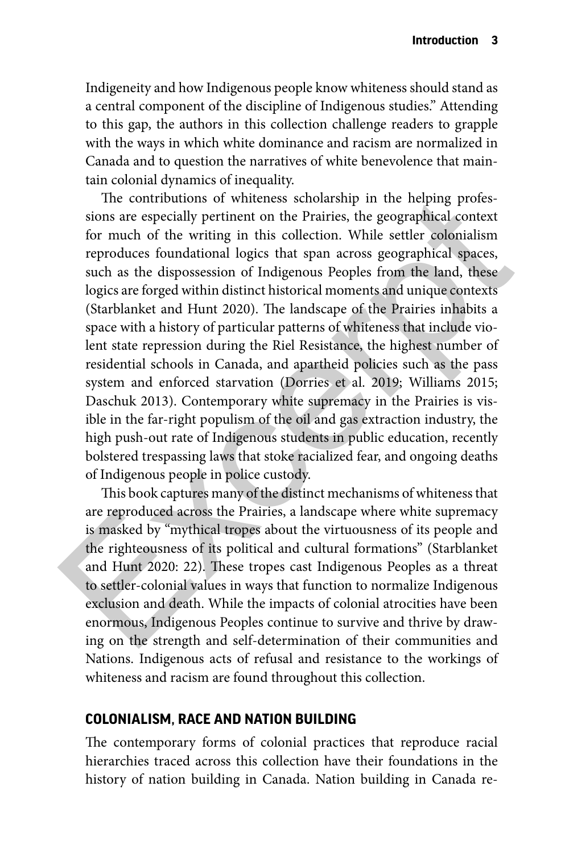Indigeneity and how Indigenous people know whiteness should stand as a central component of the discipline of Indigenous studies." Attending to this gap, the authors in this collection challenge readers to grapple with the ways in which white dominance and racism are normalized in Canada and to question the narratives of white benevolence that maintain colonial dynamics of inequality.

The contributions of whiteness scholarship in the helping professions are especially pertinent on the Prairies, the geographical context for much of the writing in this collection. While settler colonialism reproduces foundational logics that span across geographical spaces, such as the dispossession of Indigenous Peoples from the land, these logics are forged within distinct historical moments and unique contexts (Starblanket and Hunt 2020). The landscape of the Prairies inhabits a space with a history of particular patterns of whiteness that include violent state repression during the Riel Resistance, the highest number of residential schools in Canada, and apartheid policies such as the pass system and enforced starvation (Dorries et al. 2019; Williams 2015; Daschuk 2013). Contemporary white supremacy in the Prairies is visible in the far-right populism of the oil and gas extraction industry, the high push-out rate of Indigenous students in public education, recently bolstered trespassing laws that stoke racialized fear, and ongoing deaths of Indigenous people in police custody. The contributions of whiteness scholarship in the helping professions are especially pertinent on the Prairies, the geographical context for much of the writing in this collection. While settler colonialism reproduces fou

This book captures many of the distinct mechanisms of whiteness that are reproduced across the Prairies, a landscape where white supremacy is masked by "mythical tropes about the virtuousness of its people and the righteousness of its political and cultural formations" (Starblanket and Hunt 2020: 22). These tropes cast Indigenous Peoples as a threat to settler-colonial values in ways that function to normalize Indigenous exclusion and death. While the impacts of colonial atrocities have been enormous, Indigenous Peoples continue to survive and thrive by drawing on the strength and self-determination of their communities and Nations. Indigenous acts of refusal and resistance to the workings of whiteness and racism are found throughout this collection.

### **COLONIALISM, RACE AND NATION BUILDING**

The contemporary forms of colonial practices that reproduce racial hierarchies traced across this collection have their foundations in the history of nation building in Canada. Nation building in Canada re-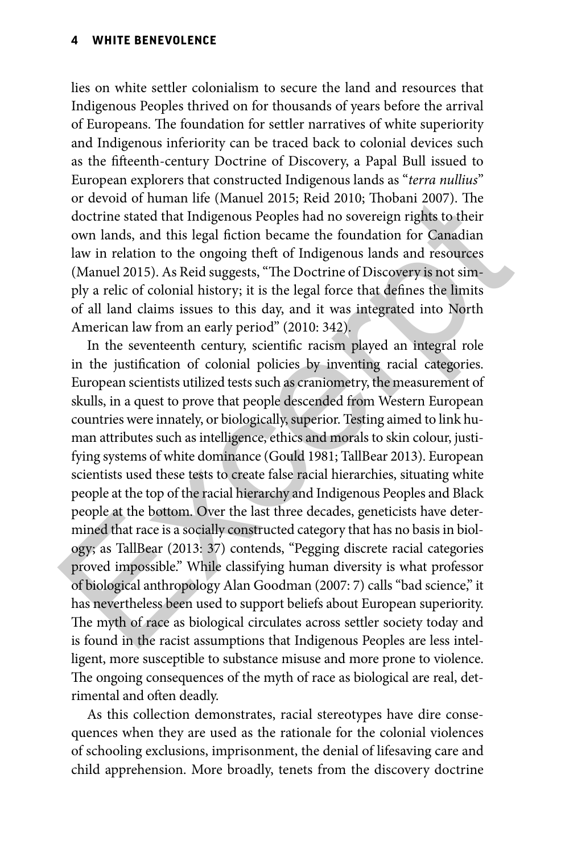lies on white settler colonialism to secure the land and resources that Indigenous Peoples thrived on for thousands of years before the arrival of Europeans. The foundation for settler narratives of white superiority and Indigenous inferiority can be traced back to colonial devices such as the fifteenth-century Doctrine of Discovery, a Papal Bull issued to European explorers that constructed Indigenous lands as "*terra nullius*" or devoid of human life (Manuel 2015; Reid 2010; Thobani 2007). The doctrine stated that Indigenous Peoples had no sovereign rights to their own lands, and this legal fiction became the foundation for Canadian law in relation to the ongoing theft of Indigenous lands and resources (Manuel 2015). As Reid suggests, "The Doctrine of Discovery is not simply a relic of colonial history; it is the legal force that defines the limits of all land claims issues to this day, and it was integrated into North American law from an early period" (2010: 342).

In the seventeenth century, scientific racism played an integral role in the justification of colonial policies by inventing racial categories. European scientists utilized tests such as craniometry, the measurement of skulls, in a quest to prove that people descended from Western European countries were innately, or biologically, superior. Testing aimed to link human attributes such as intelligence, ethics and morals to skin colour, justifying systems of white dominance (Gould 1981; TallBear 2013). European scientists used these tests to create false racial hierarchies, situating white people at the top of the racial hierarchy and Indigenous Peoples and Black people at the bottom. Over the last three decades, geneticists have determined that race is a socially constructed category that has no basis in biology; as TallBear (2013: 37) contends, "Pegging discrete racial categories proved impossible." While classifying human diversity is what professor of biological anthropology Alan Goodman (2007: 7) calls "bad science," it has nevertheless been used to support beliefs about European superiority. The myth of race as biological circulates across settler society today and is found in the racist assumptions that Indigenous Peoples are less intelligent, more susceptible to substance misuse and more prone to violence. The ongoing consequences of the myth of race as biological are real, detrimental and often deadly. or devoid of human life (Manuel 2015; Reid 2010; Thobani 2007). The<br>doctrine stated that Indigenous Peoples had no sovereign rights to their<br>our lands, and this legal fiction became the foundation for Canadian<br>law in relat

As this collection demonstrates, racial stereotypes have dire consequences when they are used as the rationale for the colonial violences of schooling exclusions, imprisonment, the denial of lifesaving care and child apprehension. More broadly, tenets from the discovery doctrine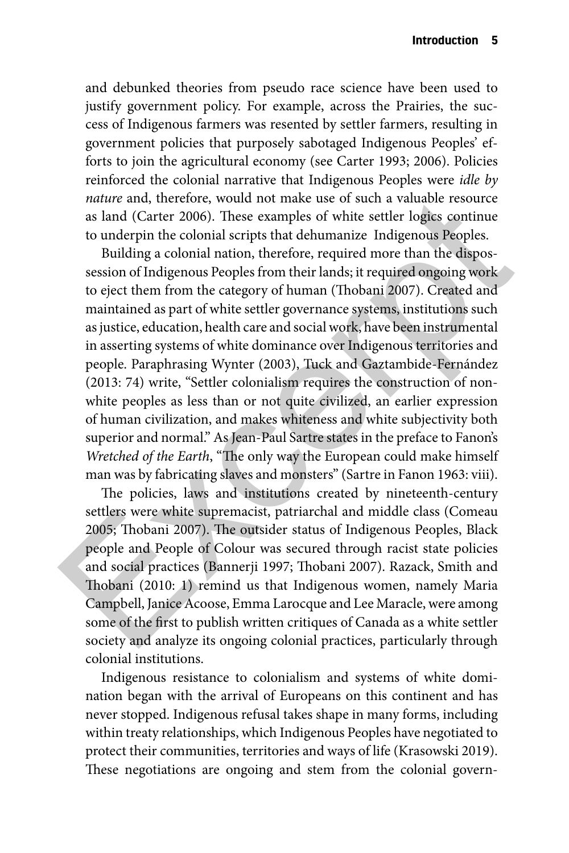and debunked theories from pseudo race science have been used to justify government policy. For example, across the Prairies, the success of Indigenous farmers was resented by settler farmers, resulting in government policies that purposely sabotaged Indigenous Peoples' efforts to join the agricultural economy (see Carter 1993; 2006). Policies reinforced the colonial narrative that Indigenous Peoples were *idle by nature* and, therefore, would not make use of such a valuable resource as land (Carter 2006). These examples of white settler logics continue to underpin the colonial scripts that dehumanize Indigenous Peoples.

Building a colonial nation, therefore, required more than the dispossession of Indigenous Peoples from their lands; it required ongoing work to eject them from the category of human (Thobani 2007). Created and maintained as part of white settler governance systems, institutions such as justice, education, health care and social work, have been instrumental in asserting systems of white dominance over Indigenous territories and people. Paraphrasing Wynter (2003), Tuck and Gaztambide-Fernández (2013: 74) write, "Settler colonialism requires the construction of nonwhite peoples as less than or not quite civilized, an earlier expression of human civilization, and makes whiteness and white subjectivity both superior and normal." As Jean-Paul Sartre states in the preface to Fanon's *Wretched of the Earth*, "The only way the European could make himself man was by fabricating slaves and monsters" (Sartre in Fanon 1963: viii). nature and, therefore, would not make use of such a valuable resource<br>as land (Carter 2006). These examples of white settler logics continue<br>to underpin the colonial scripts that dehumanize Indigenous Peoples.<br>Building a c

The policies, laws and institutions created by nineteenth-century settlers were white supremacist, patriarchal and middle class (Comeau 2005; Thobani 2007). The outsider status of Indigenous Peoples, Black people and People of Colour was secured through racist state policies and social practices (Bannerji 1997; Thobani 2007). Razack, Smith and Thobani (2010: 1) remind us that Indigenous women, namely Maria Campbell, Janice Acoose, Emma Larocque and Lee Maracle, were among some of the first to publish written critiques of Canada as a white settler society and analyze its ongoing colonial practices, particularly through colonial institutions.

Indigenous resistance to colonialism and systems of white domination began with the arrival of Europeans on this continent and has never stopped. Indigenous refusal takes shape in many forms, including within treaty relationships, which Indigenous Peoples have negotiated to protect their communities, territories and ways of life (Krasowski 2019). These negotiations are ongoing and stem from the colonial govern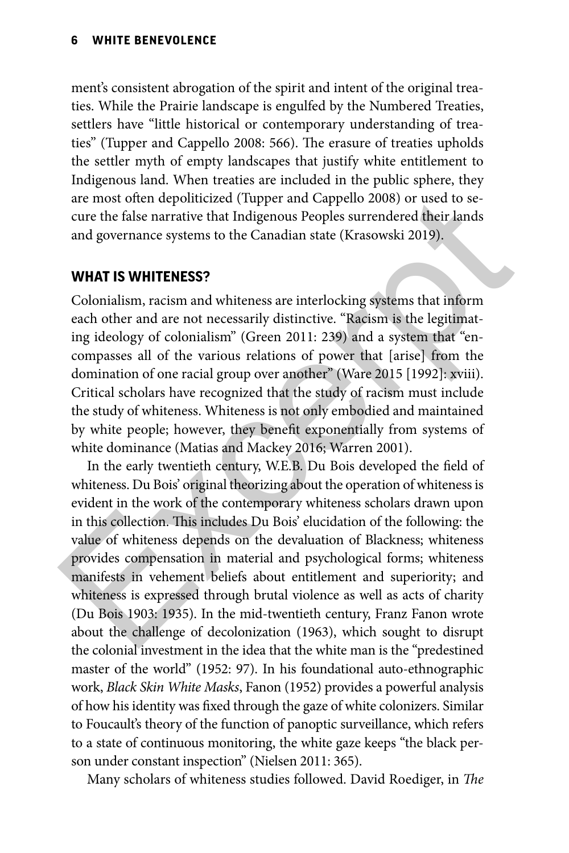ment's consistent abrogation of the spirit and intent of the original treaties. While the Prairie landscape is engulfed by the Numbered Treaties, settlers have "little historical or contemporary understanding of treaties" (Tupper and Cappello 2008: 566). The erasure of treaties upholds the settler myth of empty landscapes that justify white entitlement to Indigenous land. When treaties are included in the public sphere, they are most often depoliticized (Tupper and Cappello 2008) or used to secure the false narrative that Indigenous Peoples surrendered their lands and governance systems to the Canadian state (Krasowski 2019).

### **WHAT IS WHITENESS?**

Colonialism, racism and whiteness are interlocking systems that inform each other and are not necessarily distinctive. "Racism is the legitimating ideology of colonialism" (Green 2011: 239) and a system that "encompasses all of the various relations of power that [arise] from the domination of one racial group over another" (Ware 2015 [1992]: xviii). Critical scholars have recognized that the study of racism must include the study of whiteness. Whiteness is not only embodied and maintained by white people; however, they benefit exponentially from systems of white dominance (Matias and Mackey 2016; Warren 2001).

In the early twentieth century, W.E.B. Du Bois developed the field of whiteness. Du Bois' original theorizing about the operation of whiteness is evident in the work of the contemporary whiteness scholars drawn upon in this collection. This includes Du Bois' elucidation of the following: the value of whiteness depends on the devaluation of Blackness; whiteness provides compensation in material and psychological forms; whiteness manifests in vehement beliefs about entitlement and superiority; and whiteness is expressed through brutal violence as well as acts of charity (Du Bois 1903: 1935). In the mid-twentieth century, Franz Fanon wrote about the challenge of decolonization (1963), which sought to disrupt the colonial investment in the idea that the white man is the "predestined master of the world" (1952: 97). In his foundational auto-ethnographic work, *Black Skin White Masks*, Fanon (1952) provides a powerful analysis of how his identity was fixed through the gaze of white colonizers. Similar to Foucault's theory of the function of panoptic surveillance, which refers to a state of continuous monitoring, the white gaze keeps "the black person under constant inspection" (Nielsen 2011: 365). are most often depoliticized (Tupper and Cappello 2008) or used to se-<br>cure the false narrative that Indigenous Peoples surrendered their lands<br>and governance systems to the Canadian state (Krasowski 2019).<br>**WHAT IS WHITEN** 

Many scholars of whiteness studies followed. David Roediger, in *The*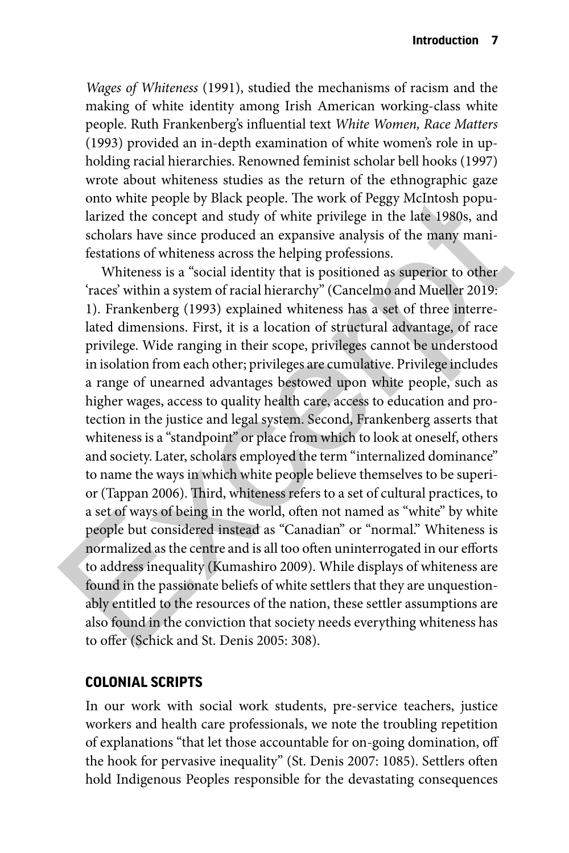*Wages of Whiteness* (1991), studied the mechanisms of racism and the making of white identity among Irish American working-class white people. Ruth Frankenberg's influential text *White Women, Race Matters* (1993) provided an in-depth examination of white women's role in upholding racial hierarchies. Renowned feminist scholar bell hooks (1997) wrote about whiteness studies as the return of the ethnographic gaze onto white people by Black people. The work of Peggy McIntosh popularized the concept and study of white privilege in the late 1980s, and scholars have since produced an expansive analysis of the many manifestations of whiteness across the helping professions.

Whiteness is a "social identity that is positioned as superior to other 'races' within a system of racial hierarchy" (Cancelmo and Mueller 2019: 1). Frankenberg (1993) explained whiteness has a set of three interrelated dimensions. First, it is a location of structural advantage, of race privilege. Wide ranging in their scope, privileges cannot be understood in isolation from each other; privileges are cumulative. Privilege includes a range of unearned advantages bestowed upon white people, such as higher wages, access to quality health care, access to education and protection in the justice and legal system. Second, Frankenberg asserts that whiteness is a "standpoint" or place from which to look at oneself, others and society. Later, scholars employed the term "internalized dominance" to name the ways in which white people believe themselves to be superior (Tappan 2006). Third, whiteness refers to a set of cultural practices, to a set of ways of being in the world, often not named as "white" by white people but considered instead as "Canadian" or "normal." Whiteness is normalized as the centre and is all too often uninterrogated in our efforts to address inequality (Kumashiro 2009). While displays of whiteness are found in the passionate beliefs of white settlers that they are unquestionably entitled to the resources of the nation, these settler assumptions are also found in the conviction that society needs everything whiteness has to offer (Schick and St. Denis 2005: 308). onto white people by Black people. The work of Peggy McIntosh popularized the concept and study of white privilege in the late 1980s, and scholars have since produced an expansive analysis of the many manifestations of whi

### **COLONIAL SCRIPTS**

In our work with social work students, pre-service teachers, justice workers and health care professionals, we note the troubling repetition of explanations "that let those accountable for on-going domination, off the hook for pervasive inequality" (St. Denis 2007: 1085). Settlers often hold Indigenous Peoples responsible for the devastating consequences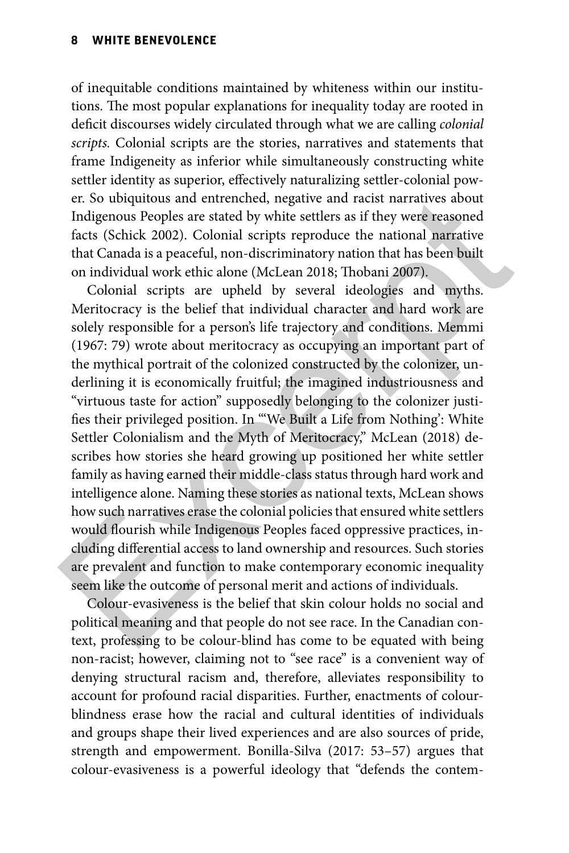of inequitable conditions maintained by whiteness within our institutions. The most popular explanations for inequality today are rooted in deficit discourses widely circulated through what we are calling *colonial scripts.* Colonial scripts are the stories, narratives and statements that frame Indigeneity as inferior while simultaneously constructing white settler identity as superior, effectively naturalizing settler-colonial power. So ubiquitous and entrenched, negative and racist narratives about Indigenous Peoples are stated by white settlers as if they were reasoned facts (Schick 2002). Colonial scripts reproduce the national narrative that Canada is a peaceful, non-discriminatory nation that has been built on individual work ethic alone (McLean 2018; Thobani 2007).

Colonial scripts are upheld by several ideologies and myths. Meritocracy is the belief that individual character and hard work are solely responsible for a person's life trajectory and conditions. Memmi (1967: 79) wrote about meritocracy as occupying an important part of the mythical portrait of the colonized constructed by the colonizer, underlining it is economically fruitful; the imagined industriousness and "virtuous taste for action" supposedly belonging to the colonizer justifies their privileged position. In "'We Built a Life from Nothing': White Settler Colonialism and the Myth of Meritocracy," McLean (2018) describes how stories she heard growing up positioned her white settler family as having earned their middle-class status through hard work and intelligence alone. Naming these stories as national texts, McLean shows how such narratives erase the colonial policies that ensured white settlers would flourish while Indigenous Peoples faced oppressive practices, including differential access to land ownership and resources. Such stories are prevalent and function to make contemporary economic inequality seem like the outcome of personal merit and actions of individuals. er. So ubiquitous and entrenched, negative and racist narratives about<br>Indigenous Peoples are stated by white settlers as if they were reasoned<br>dets (Schick 2002). Colonial scripts reproduce the national narrative<br>that Can

Colour-evasiveness is the belief that skin colour holds no social and political meaning and that people do not see race. In the Canadian context, professing to be colour-blind has come to be equated with being non-racist; however, claiming not to "see race" is a convenient way of denying structural racism and, therefore, alleviates responsibility to account for profound racial disparities. Further, enactments of colourblindness erase how the racial and cultural identities of individuals and groups shape their lived experiences and are also sources of pride, strength and empowerment. Bonilla-Silva (2017: 53–57) argues that colour-evasiveness is a powerful ideology that "defends the contem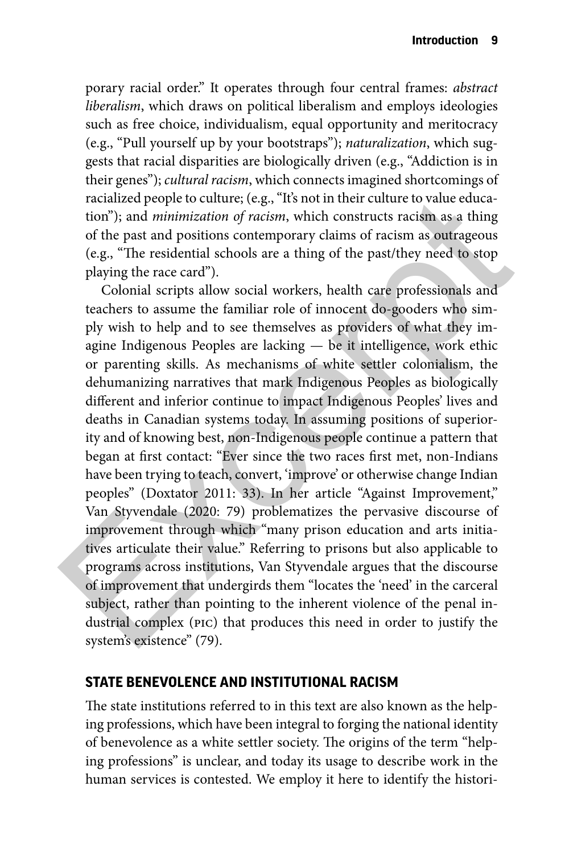porary racial order." It operates through four central frames: *abstract liberalism*, which draws on political liberalism and employs ideologies such as free choice, individualism, equal opportunity and meritocracy (e.g., "Pull yourself up by your bootstraps"); *naturalization*, which suggests that racial disparities are biologically driven (e.g., "Addiction is in their genes"); *cultural racism*, which connects imagined shortcomings of racialized people to culture; (e.g., "It's not in their culture to value education"); and *minimization of racism*, which constructs racism as a thing of the past and positions contemporary claims of racism as outrageous (e.g., "The residential schools are a thing of the past/they need to stop playing the race card").

Colonial scripts allow social workers, health care professionals and teachers to assume the familiar role of innocent do-gooders who simply wish to help and to see themselves as providers of what they imagine Indigenous Peoples are lacking — be it intelligence, work ethic or parenting skills. As mechanisms of white settler colonialism, the dehumanizing narratives that mark Indigenous Peoples as biologically different and inferior continue to impact Indigenous Peoples' lives and deaths in Canadian systems today. In assuming positions of superiority and of knowing best, non-Indigenous people continue a pattern that began at first contact: "Ever since the two races first met, non-Indians have been trying to teach, convert, 'improve' or otherwise change Indian peoples" (Doxtator 2011: 33). In her article "Against Improvement," Van Styvendale (2020: 79) problematizes the pervasive discourse of improvement through which "many prison education and arts initiatives articulate their value." Referring to prisons but also applicable to programs across institutions, Van Styvendale argues that the discourse of improvement that undergirds them "locates the 'need' in the carceral subject, rather than pointing to the inherent violence of the penal industrial complex (pic) that produces this need in order to justify the system's existence" (79). racialized people to culture; (e.g., "It's not in their culture to value education"); and *minimization of racism*, which constructs racism as a thing of the past and positions contemporary claims of racism as outrageous

### **STATE BENEVOLENCE AND INSTITUTIONAL RACISM**

The state institutions referred to in this text are also known as the helping professions, which have been integral to forging the national identity of benevolence as a white settler society. The origins of the term "helping professions" is unclear, and today its usage to describe work in the human services is contested. We employ it here to identify the histori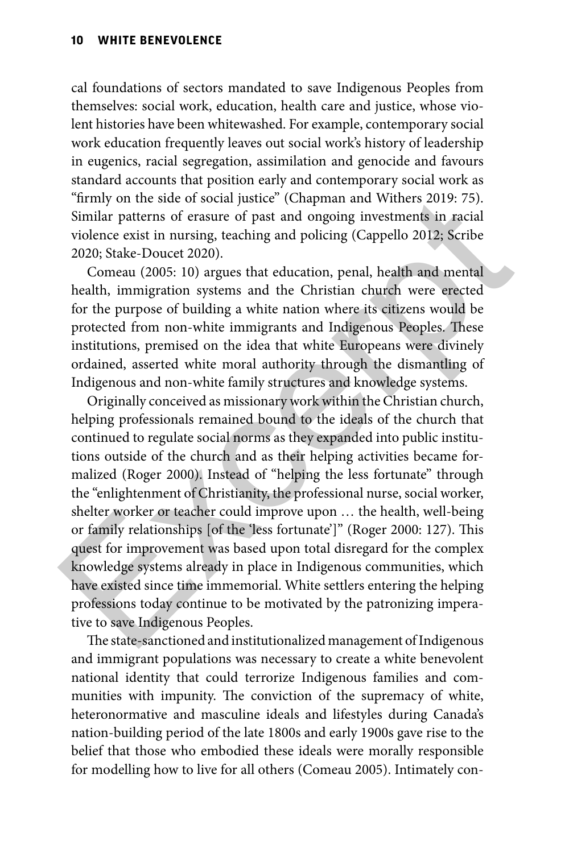cal foundations of sectors mandated to save Indigenous Peoples from themselves: social work, education, health care and justice, whose violent histories have been whitewashed. For example, contemporary social work education frequently leaves out social work's history of leadership in eugenics, racial segregation, assimilation and genocide and favours standard accounts that position early and contemporary social work as "firmly on the side of social justice" (Chapman and Withers 2019: 75). Similar patterns of erasure of past and ongoing investments in racial violence exist in nursing, teaching and policing (Cappello 2012; Scribe 2020; Stake-Doucet 2020).

Comeau (2005: 10) argues that education, penal, health and mental health, immigration systems and the Christian church were erected for the purpose of building a white nation where its citizens would be protected from non-white immigrants and Indigenous Peoples. These institutions, premised on the idea that white Europeans were divinely ordained, asserted white moral authority through the dismantling of Indigenous and non-white family structures and knowledge systems.

Originally conceived as missionary work within the Christian church, helping professionals remained bound to the ideals of the church that continued to regulate social norms as they expanded into public institutions outside of the church and as their helping activities became formalized (Roger 2000). Instead of "helping the less fortunate" through the "enlightenment of Christianity, the professional nurse, social worker, shelter worker or teacher could improve upon … the health, well-being or family relationships [of the 'less fortunate']" (Roger 2000: 127). This quest for improvement was based upon total disregard for the complex knowledge systems already in place in Indigenous communities, which have existed since time immemorial. White settlers entering the helping professions today continue to be motivated by the patronizing imperative to save Indigenous Peoples. "firmly on the side of social justice" (Chapman and Withers 2019: 75).<br>
Similar patterns of erasure of past and ongoing investments in racial<br>
violence exist in unrsing, teaching and policing (Cappello 2012; Scribe<br>
2020;

The state-sanctioned and institutionalized management of Indigenous and immigrant populations was necessary to create a white benevolent national identity that could terrorize Indigenous families and communities with impunity. The conviction of the supremacy of white, heteronormative and masculine ideals and lifestyles during Canada's nation-building period of the late 1800s and early 1900s gave rise to the belief that those who embodied these ideals were morally responsible for modelling how to live for all others (Comeau 2005). Intimately con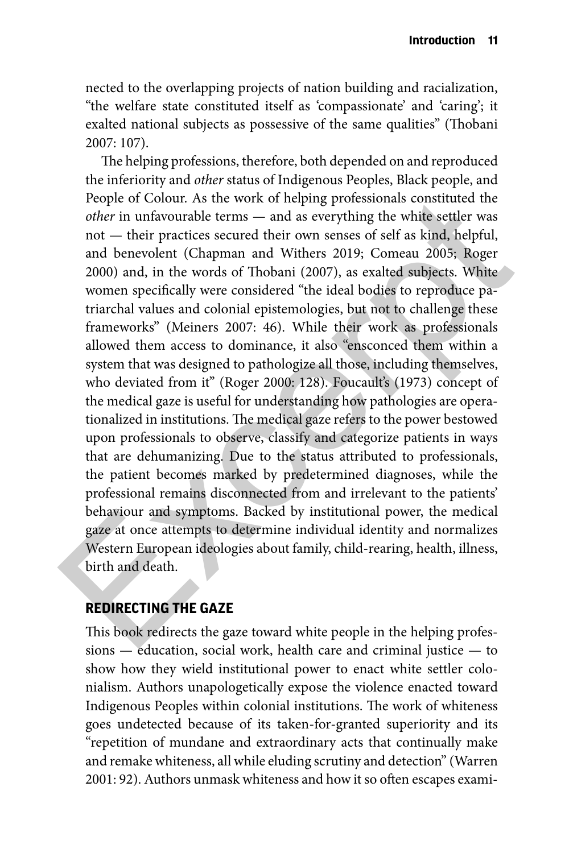nected to the overlapping projects of nation building and racialization, "the welfare state constituted itself as 'compassionate' and 'caring'; it exalted national subjects as possessive of the same qualities" (Thobani 2007: 107).

The helping professions, therefore, both depended on and reproduced the inferiority and *other* status of Indigenous Peoples, Black people, and People of Colour. As the work of helping professionals constituted the *other* in unfavourable terms — and as everything the white settler was not — their practices secured their own senses of self as kind, helpful, and benevolent (Chapman and Withers 2019; Comeau 2005; Roger 2000) and, in the words of Thobani (2007), as exalted subjects. White women specifically were considered "the ideal bodies to reproduce patriarchal values and colonial epistemologies, but not to challenge these frameworks" (Meiners 2007: 46). While their work as professionals allowed them access to dominance, it also "ensconced them within a system that was designed to pathologize all those, including themselves, who deviated from it" (Roger 2000: 128). Foucault's (1973) concept of the medical gaze is useful for understanding how pathologies are operationalized in institutions. The medical gaze refers to the power bestowed upon professionals to observe, classify and categorize patients in ways that are dehumanizing. Due to the status attributed to professionals, the patient becomes marked by predetermined diagnoses, while the professional remains disconnected from and irrelevant to the patients' behaviour and symptoms. Backed by institutional power, the medical gaze at once attempts to determine individual identity and normalizes Western European ideologies about family, child-rearing, health, illness, birth and death. People of Colour. As the work of helping professionals constituted the *other* in unfavourable terms — and as everything the white settler was not — their practices secured their own senses of self as kind, helpful, and b

### **REDIRECTING THE GAZE**

This book redirects the gaze toward white people in the helping professions — education, social work, health care and criminal justice — to show how they wield institutional power to enact white settler colonialism. Authors unapologetically expose the violence enacted toward Indigenous Peoples within colonial institutions. The work of whiteness goes undetected because of its taken-for-granted superiority and its "repetition of mundane and extraordinary acts that continually make and remake whiteness, all while eluding scrutiny and detection" (Warren 2001: 92). Authors unmask whiteness and how it so often escapes exami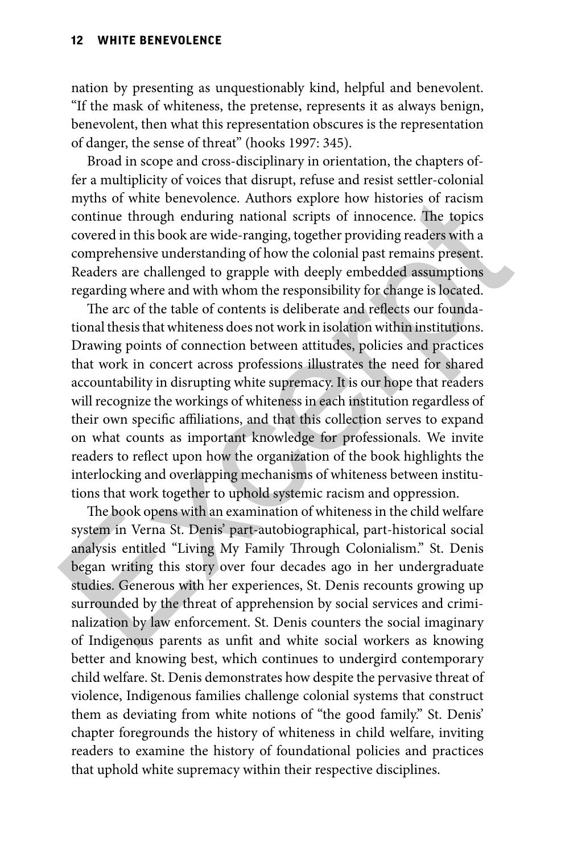nation by presenting as unquestionably kind, helpful and benevolent. "If the mask of whiteness, the pretense, represents it as always benign, benevolent, then what this representation obscures is the representation of danger, the sense of threat" (hooks 1997: 345).

Broad in scope and cross-disciplinary in orientation, the chapters offer a multiplicity of voices that disrupt, refuse and resist settler-colonial myths of white benevolence. Authors explore how histories of racism continue through enduring national scripts of innocence. The topics covered in this book are wide-ranging, together providing readers with a comprehensive understanding of how the colonial past remains present. Readers are challenged to grapple with deeply embedded assumptions regarding where and with whom the responsibility for change is located.

The arc of the table of contents is deliberate and reflects our foundational thesis that whiteness does not work in isolation within institutions. Drawing points of connection between attitudes, policies and practices that work in concert across professions illustrates the need for shared accountability in disrupting white supremacy. It is our hope that readers will recognize the workings of whiteness in each institution regardless of their own specific affiliations, and that this collection serves to expand on what counts as important knowledge for professionals. We invite readers to reflect upon how the organization of the book highlights the interlocking and overlapping mechanisms of whiteness between institutions that work together to uphold systemic racism and oppression. myths of white benevolence. Authors explore how histories of racism<br>continue through enduring national serits of innocence. The topics<br>overed in this book are wide-ranging, together providing readers with a<br>comprehensive u

The book opens with an examination of whiteness in the child welfare system in Verna St. Denis' part-autobiographical, part-historical social analysis entitled "Living My Family Through Colonialism." St. Denis began writing this story over four decades ago in her undergraduate studies. Generous with her experiences, St. Denis recounts growing up surrounded by the threat of apprehension by social services and criminalization by law enforcement. St. Denis counters the social imaginary of Indigenous parents as unfit and white social workers as knowing better and knowing best, which continues to undergird contemporary child welfare. St. Denis demonstrates how despite the pervasive threat of violence, Indigenous families challenge colonial systems that construct them as deviating from white notions of "the good family." St. Denis' chapter foregrounds the history of whiteness in child welfare, inviting readers to examine the history of foundational policies and practices that uphold white supremacy within their respective disciplines.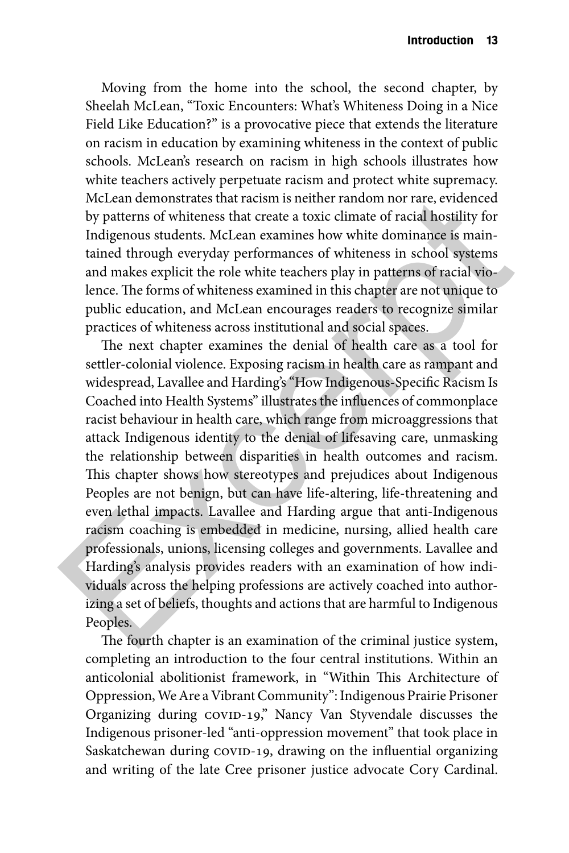Moving from the home into the school, the second chapter, by Sheelah McLean, "Toxic Encounters: What's Whiteness Doing in a Nice Field Like Education?" is a provocative piece that extends the literature on racism in education by examining whiteness in the context of public schools. McLean's research on racism in high schools illustrates how white teachers actively perpetuate racism and protect white supremacy. McLean demonstrates that racism is neither random nor rare, evidenced by patterns of whiteness that create a toxic climate of racial hostility for Indigenous students. McLean examines how white dominance is maintained through everyday performances of whiteness in school systems and makes explicit the role white teachers play in patterns of racial violence. The forms of whiteness examined in this chapter are not unique to public education, and McLean encourages readers to recognize similar practices of whiteness across institutional and social spaces.

The next chapter examines the denial of health care as a tool for settler-colonial violence. Exposing racism in health care as rampant and widespread, Lavallee and Harding's "How Indigenous-Specific Racism Is Coached into Health Systems" illustrates the influences of commonplace racist behaviour in health care, which range from microaggressions that attack Indigenous identity to the denial of lifesaving care, unmasking the relationship between disparities in health outcomes and racism. This chapter shows how stereotypes and prejudices about Indigenous Peoples are not benign, but can have life-altering, life-threatening and even lethal impacts. Lavallee and Harding argue that anti-Indigenous racism coaching is embedded in medicine, nursing, allied health care professionals, unions, licensing colleges and governments. Lavallee and Harding's analysis provides readers with an examination of how individuals across the helping professions are actively coached into authorizing a set of beliefs, thoughts and actions that are harmful to Indigenous Peoples. McLean demonstrates that racism is neither random nor rare, evidenced<br>by patterns of whiteness that create a toxic climate of racial hostility for<br>Indigenous students. McLean examines how white dominance is main-<br>tained t

The fourth chapter is an examination of the criminal justice system, completing an introduction to the four central institutions. Within an anticolonial abolitionist framework, in "Within This Architecture of Oppression, We Are a Vibrant Community": Indigenous Prairie Prisoner Organizing during covin-19," Nancy Van Styvendale discusses the Indigenous prisoner-led "anti-oppression movement" that took place in Saskatchewan during covid-19, drawing on the influential organizing and writing of the late Cree prisoner justice advocate Cory Cardinal.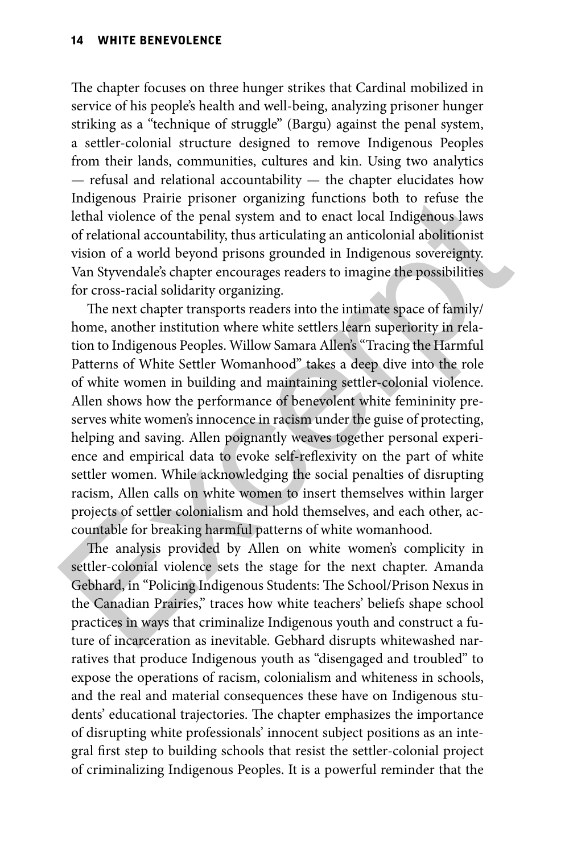The chapter focuses on three hunger strikes that Cardinal mobilized in service of his people's health and well-being, analyzing prisoner hunger striking as a "technique of struggle" (Bargu) against the penal system, a settler-colonial structure designed to remove Indigenous Peoples from their lands, communities, cultures and kin. Using two analytics — refusal and relational accountability — the chapter elucidates how Indigenous Prairie prisoner organizing functions both to refuse the lethal violence of the penal system and to enact local Indigenous laws of relational accountability, thus articulating an anticolonial abolitionist vision of a world beyond prisons grounded in Indigenous sovereignty. Van Styvendale's chapter encourages readers to imagine the possibilities for cross-racial solidarity organizing.

The next chapter transports readers into the intimate space of family/ home, another institution where white settlers learn superiority in relation to Indigenous Peoples. Willow Samara Allen's "Tracing the Harmful Patterns of White Settler Womanhood" takes a deep dive into the role of white women in building and maintaining settler-colonial violence. Allen shows how the performance of benevolent white femininity preserves white women's innocence in racism under the guise of protecting, helping and saving. Allen poignantly weaves together personal experience and empirical data to evoke self-reflexivity on the part of white settler women. While acknowledging the social penalties of disrupting racism, Allen calls on white women to insert themselves within larger projects of settler colonialism and hold themselves, and each other, accountable for breaking harmful patterns of white womanhood. Indigenous Prairie prisoner organizing functions both to refuse the<br>lehd violence of the penal system and to enact local Indigenous laws<br>of relational accountability, thus articulating an anticolonial abolition<br>ist vision

The analysis provided by Allen on white women's complicity in settler-colonial violence sets the stage for the next chapter. Amanda Gebhard, in "Policing Indigenous Students: The School/Prison Nexus in the Canadian Prairies," traces how white teachers' beliefs shape school practices in ways that criminalize Indigenous youth and construct a future of incarceration as inevitable. Gebhard disrupts whitewashed narratives that produce Indigenous youth as "disengaged and troubled" to expose the operations of racism, colonialism and whiteness in schools, and the real and material consequences these have on Indigenous students' educational trajectories. The chapter emphasizes the importance of disrupting white professionals' innocent subject positions as an integral first step to building schools that resist the settler-colonial project of criminalizing Indigenous Peoples. It is a powerful reminder that the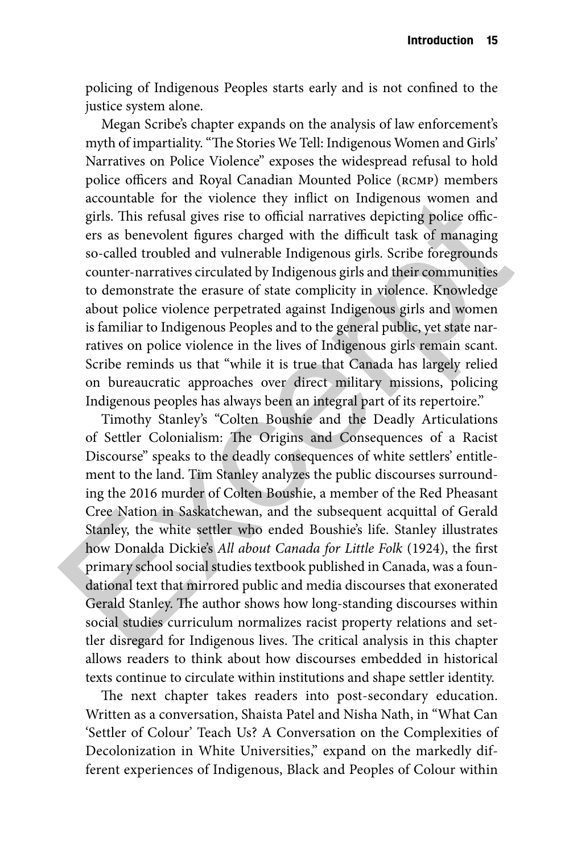policing of Indigenous Peoples starts early and is not confined to the justice system alone.

Megan Scribe's chapter expands on the analysis of law enforcement's myth of impartiality. "The Stories We Tell: Indigenous Women and Girls' Narratives on Police Violence" exposes the widespread refusal to hold police officers and Royal Canadian Mounted Police (RCMP) members accountable for the violence they inflict on Indigenous women and girls. This refusal gives rise to official narratives depicting police officers as benevolent figures charged with the difficult task of managing so-called troubled and vulnerable Indigenous girls. Scribe foregrounds counter-narratives circulated by Indigenous girls and their communities to demonstrate the erasure of state complicity in violence. Knowledge about police violence perpetrated against Indigenous girls and women is familiar to Indigenous Peoples and to the general public, yet state narratives on police violence in the lives of Indigenous girls remain scant. Scribe reminds us that "while it is true that Canada has largely relied on bureaucratic approaches over direct military missions, policing Indigenous peoples has always been an integral part of its repertoire."

Timothy Stanley's "Colten Boushie and the Deadly Articulations of Settler Colonialism: The Origins and Consequences of a Racist Discourse" speaks to the deadly consequences of white settlers' entitlement to the land. Tim Stanley analyzes the public discourses surrounding the 2016 murder of Colten Boushie, a member of the Red Pheasant Cree Nation in Saskatchewan, and the subsequent acquittal of Gerald Stanley, the white settler who ended Boushie's life. Stanley illustrates how Donalda Dickie's *All about Canada for Little Folk* (1924), the first primary school social studies textbook published in Canada, was a foundational text that mirrored public and media discourses that exonerated Gerald Stanley. The author shows how long-standing discourses within social studies curriculum normalizes racist property relations and settler disregard for Indigenous lives. The critical analysis in this chapter allows readers to think about how discourses embedded in historical texts continue to circulate within institutions and shape settler identity. accountable for the violence they inflict on Indigenous women and<br>gris. This refusal gives rise to official narratives depicting police offic-<br>ers as benevolent figures charged with the difficult task of managing<br>so-called

The next chapter takes readers into post-secondary education. Written as a conversation, Shaista Patel and Nisha Nath, in "What Can 'Settler of Colour' Teach Us? A Conversation on the Complexities of Decolonization in White Universities," expand on the markedly different experiences of Indigenous, Black and Peoples of Colour within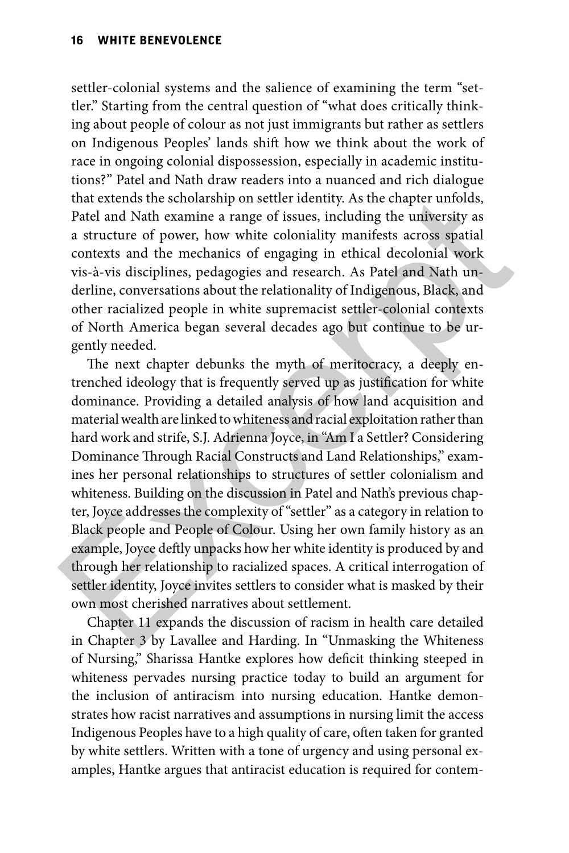settler-colonial systems and the salience of examining the term "settler." Starting from the central question of "what does critically thinking about people of colour as not just immigrants but rather as settlers on Indigenous Peoples' lands shift how we think about the work of race in ongoing colonial dispossession, especially in academic institutions?" Patel and Nath draw readers into a nuanced and rich dialogue that extends the scholarship on settler identity. As the chapter unfolds, Patel and Nath examine a range of issues, including the university as a structure of power, how white coloniality manifests across spatial contexts and the mechanics of engaging in ethical decolonial work vis-à-vis disciplines, pedagogies and research. As Patel and Nath underline, conversations about the relationality of Indigenous, Black, and other racialized people in white supremacist settler-colonial contexts of North America began several decades ago but continue to be urgently needed.

The next chapter debunks the myth of meritocracy, a deeply entrenched ideology that is frequently served up as justification for white dominance. Providing a detailed analysis of how land acquisition and material wealth are linked to whiteness and racial exploitation rather than hard work and strife, S.J. Adrienna Joyce, in "Am I a Settler? Considering Dominance Through Racial Constructs and Land Relationships," examines her personal relationships to structures of settler colonialism and whiteness. Building on the discussion in Patel and Nath's previous chapter, Joyce addresses the complexity of "settler" as a category in relation to Black people and People of Colour. Using her own family history as an example, Joyce deftly unpacks how her white identity is produced by and through her relationship to racialized spaces. A critical interrogation of settler identity, Joyce invites settlers to consider what is masked by their own most cherished narratives about settlement. that extends the scholarship on settler identity. As the chapter unfolds,<br>Patel and Nath examine a range of issues, including the university as<br>structure of power, how white coloniality manifests across spatial<br>contexts an

Chapter 11 expands the discussion of racism in health care detailed in Chapter 3 by Lavallee and Harding. In "Unmasking the Whiteness of Nursing," Sharissa Hantke explores how deficit thinking steeped in whiteness pervades nursing practice today to build an argument for the inclusion of antiracism into nursing education. Hantke demonstrates how racist narratives and assumptions in nursing limit the access Indigenous Peoples have to a high quality of care, often taken for granted by white settlers. Written with a tone of urgency and using personal examples, Hantke argues that antiracist education is required for contem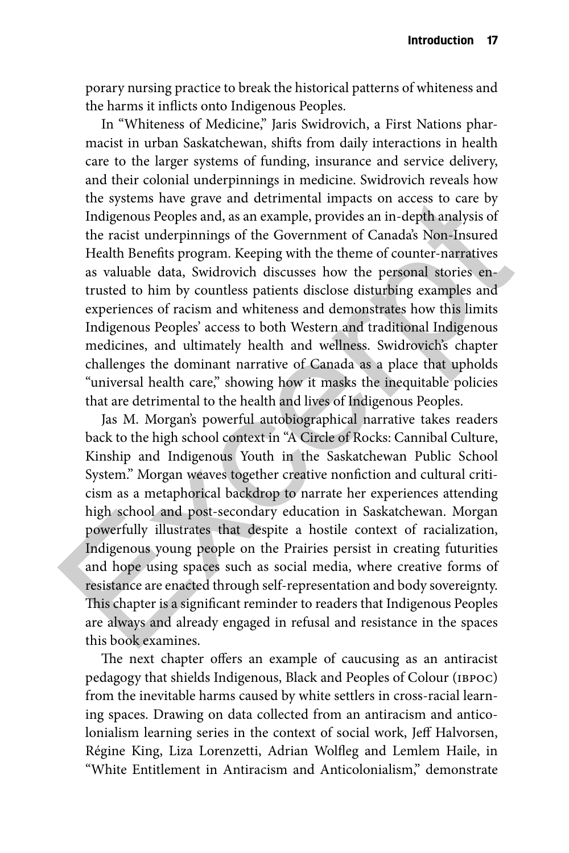porary nursing practice to break the historical patterns of whiteness and the harms it inflicts onto Indigenous Peoples.

In "Whiteness of Medicine," Jaris Swidrovich, a First Nations pharmacist in urban Saskatchewan, shifts from daily interactions in health care to the larger systems of funding, insurance and service delivery, and their colonial underpinnings in medicine. Swidrovich reveals how the systems have grave and detrimental impacts on access to care by Indigenous Peoples and, as an example, provides an in-depth analysis of the racist underpinnings of the Government of Canada's Non-Insured Health Benefits program. Keeping with the theme of counter-narratives as valuable data, Swidrovich discusses how the personal stories entrusted to him by countless patients disclose disturbing examples and experiences of racism and whiteness and demonstrates how this limits Indigenous Peoples' access to both Western and traditional Indigenous medicines, and ultimately health and wellness. Swidrovich's chapter challenges the dominant narrative of Canada as a place that upholds "universal health care," showing how it masks the inequitable policies that are detrimental to the health and lives of Indigenous Peoples.

Jas M. Morgan's powerful autobiographical narrative takes readers back to the high school context in "A Circle of Rocks: Cannibal Culture, Kinship and Indigenous Youth in the Saskatchewan Public School System." Morgan weaves together creative nonfiction and cultural criticism as a metaphorical backdrop to narrate her experiences attending high school and post-secondary education in Saskatchewan. Morgan powerfully illustrates that despite a hostile context of racialization, Indigenous young people on the Prairies persist in creating futurities and hope using spaces such as social media, where creative forms of resistance are enacted through self-representation and body sovereignty. This chapter is a significant reminder to readers that Indigenous Peoples are always and already engaged in refusal and resistance in the spaces this book examines. the systems have grave and detrimental impacts on access to care by<br>Indigenous Peoples and, as an example, provides an in-depth analysis of<br>the racist underpinnings of the Government of Canada's Non-Insured<br>Health Benefits

The next chapter offers an example of caucusing as an antiracist pedagogy that shields Indigenous, Black and Peoples of Colour (ibpoc) from the inevitable harms caused by white settlers in cross-racial learning spaces. Drawing on data collected from an antiracism and anticolonialism learning series in the context of social work, Jeff Halvorsen, Régine King, Liza Lorenzetti, Adrian Wolfleg and Lemlem Haile, in "White Entitlement in Antiracism and Anticolonialism," demonstrate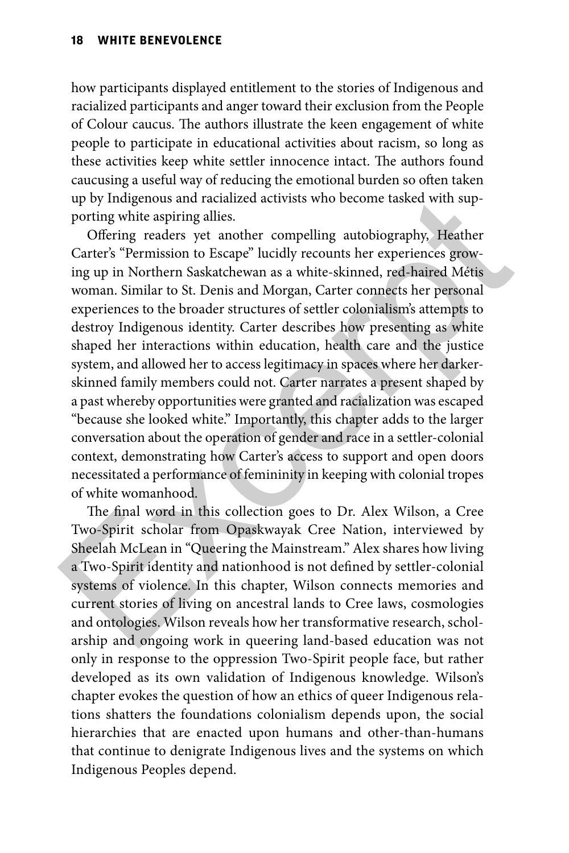how participants displayed entitlement to the stories of Indigenous and racialized participants and anger toward their exclusion from the People of Colour caucus. The authors illustrate the keen engagement of white people to participate in educational activities about racism, so long as these activities keep white settler innocence intact. The authors found caucusing a useful way of reducing the emotional burden so often taken up by Indigenous and racialized activists who become tasked with supporting white aspiring allies.

Offering readers yet another compelling autobiography, Heather Carter's "Permission to Escape" lucidly recounts her experiences growing up in Northern Saskatchewan as a white-skinned, red-haired Métis woman. Similar to St. Denis and Morgan, Carter connects her personal experiences to the broader structures of settler colonialism's attempts to destroy Indigenous identity. Carter describes how presenting as white shaped her interactions within education, health care and the justice system, and allowed her to access legitimacy in spaces where her darkerskinned family members could not. Carter narrates a present shaped by a past whereby opportunities were granted and racialization was escaped "because she looked white." Importantly, this chapter adds to the larger conversation about the operation of gender and race in a settler-colonial context, demonstrating how Carter's access to support and open doors necessitated a performance of femininity in keeping with colonial tropes of white womanhood. up by Indigenous and racialized activists who become tasked with sup-<br>porting white aspiring allies.<br>Offering readers yet another compelling autobiography, Heather<br>Carter's "Permission to Escape" lucidly recounts her exper

The final word in this collection goes to Dr. Alex Wilson, a Cree Two-Spirit scholar from Opaskwayak Cree Nation, interviewed by Sheelah McLean in "Queering the Mainstream." Alex shares how living a Two-Spirit identity and nationhood is not defined by settler-colonial systems of violence. In this chapter, Wilson connects memories and current stories of living on ancestral lands to Cree laws, cosmologies and ontologies. Wilson reveals how her transformative research, scholarship and ongoing work in queering land-based education was not only in response to the oppression Two-Spirit people face, but rather developed as its own validation of Indigenous knowledge. Wilson's chapter evokes the question of how an ethics of queer Indigenous relations shatters the foundations colonialism depends upon, the social hierarchies that are enacted upon humans and other-than-humans that continue to denigrate Indigenous lives and the systems on which Indigenous Peoples depend.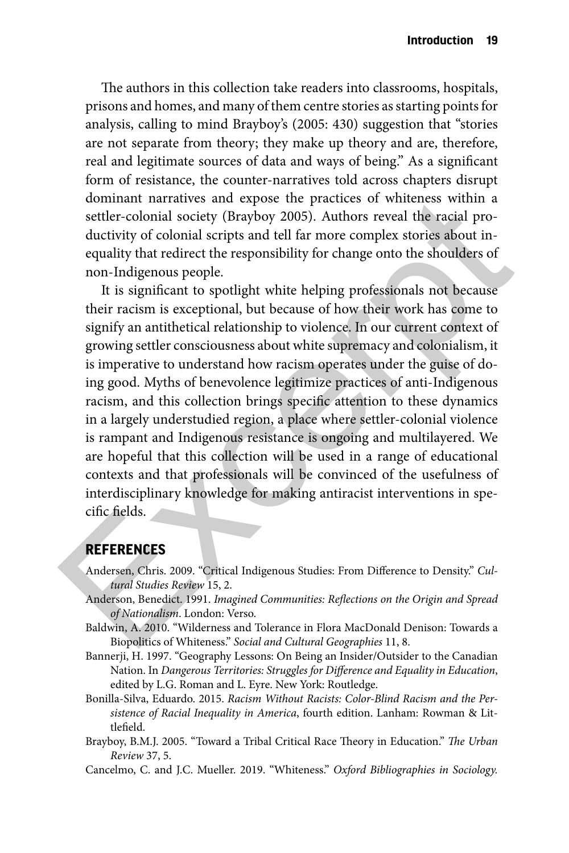The authors in this collection take readers into classrooms, hospitals, prisons and homes, and many of them centre stories as starting points for analysis, calling to mind Brayboy's (2005: 430) suggestion that "stories are not separate from theory; they make up theory and are, therefore, real and legitimate sources of data and ways of being." As a significant form of resistance, the counter-narratives told across chapters disrupt dominant narratives and expose the practices of whiteness within a settler-colonial society (Brayboy 2005). Authors reveal the racial productivity of colonial scripts and tell far more complex stories about inequality that redirect the responsibility for change onto the shoulders of non-Indigenous people.

It is significant to spotlight white helping professionals not because their racism is exceptional, but because of how their work has come to signify an antithetical relationship to violence. In our current context of growing settler consciousness about white supremacy and colonialism, it is imperative to understand how racism operates under the guise of doing good. Myths of benevolence legitimize practices of anti-Indigenous racism, and this collection brings specific attention to these dynamics in a largely understudied region, a place where settler-colonial violence is rampant and Indigenous resistance is ongoing and multilayered. We are hopeful that this collection will be used in a range of educational contexts and that professionals will be convinced of the usefulness of interdisciplinary knowledge for making antiracist interventions in specific fields. dominant narratives and expose the practices of whiteness within a<br>settler-colonial society (Brayboy 2005). Authors reveal the racial pro-<br>ductivity of colonial scripts and tell far more complex stories about<br>inequality th

### **REFERENCES**

- Andersen, Chris. 2009. "Critical Indigenous Studies: From Difference to Density." *Cultural Studies Review* 15, 2.
- Anderson, Benedict. 1991. *Imagined Communities: Reflections on the Origin and Spread of Nationalism*. London: Verso.
- Baldwin, A. 2010. "Wilderness and Tolerance in Flora MacDonald Denison: Towards a Biopolitics of Whiteness." *Social and Cultural Geographies* 11, 8.
- Bannerji, H. 1997. "Geography Lessons: On Being an Insider/Outsider to the Canadian Nation. In *Dangerous Territories: Struggles for Difference and Equality in Education*, edited by L.G. Roman and L. Eyre. New York: Routledge.
- Bonilla-Silva, Eduardo. 2015. *Racism Without Racists: Color-Blind Racism and the Persistence of Racial Inequality in America*, fourth edition. Lanham: Rowman & Littlefield.
- Brayboy, B.M.J. 2005. "Toward a Tribal Critical Race Theory in Education." *The Urban Review* 37, 5.
- Cancelmo, C. and J.C. Mueller. 2019. "Whiteness." *Oxford Bibliographies in Sociology.*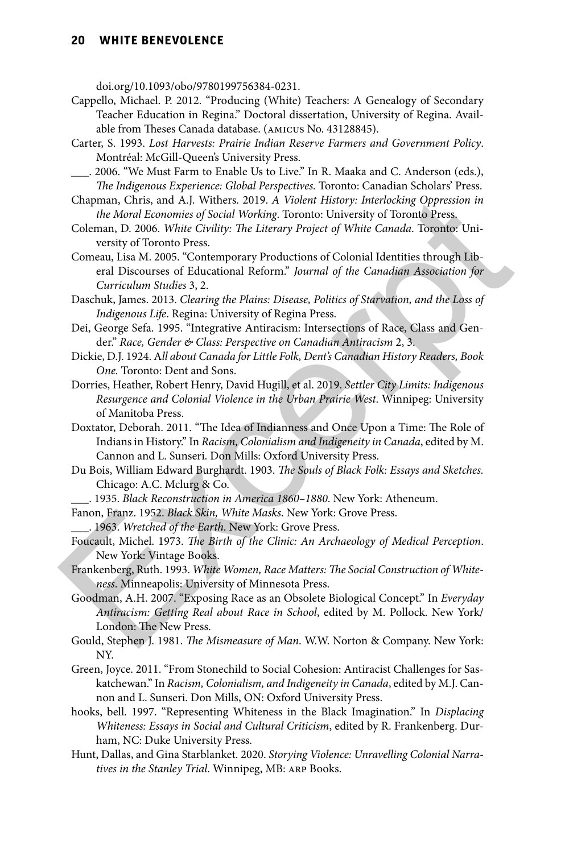### **20 White Benevolence**

doi.org/10.1093/obo/9780199756384-0231.

- Cappello, Michael. P. 2012. "Producing (White) Teachers: A Genealogy of Secondary Teacher Education in Regina." Doctoral dissertation, University of Regina. Available from Theses Canada database. (amicus No. 43128845).
- Carter, S. 1993. *Lost Harvests: Prairie Indian Reserve Farmers and Government Policy*. Montréal: McGill-Queen's University Press.
- \_\_\_. 2006. "We Must Farm to Enable Us to Live." In R. Maaka and C. Anderson (eds.), *The Indigenous Experience: Global Perspectives.* Toronto: Canadian Scholars' Press.
- Chapman, Chris, and A.J. Withers. 2019. *A Violent History: Interlocking Oppression in the Moral Economies of Social Working*. Toronto: University of Toronto Press.
- Coleman, D. 2006. *White Civility: The Literary Project of White Canada*. Toronto: University of Toronto Press.
- Comeau, Lisa M. 2005. "Contemporary Productions of Colonial Identities through Liberal Discourses of Educational Reform." *Journal of the Canadian Association for Curriculum Studies* 3, 2. Chapman, Chris, and A.J. Withers. 2019. A Violet History: Interlocking Oppression in the Moral Economics of Social Working. To<br>ronto: University of Toronto Dress. Coleman, D. 2006. White Civility: The Literary Project of
	- Daschuk, James. 2013. *Clearing the Plains: Disease, Politics of Starvation, and the Loss of Indigenous Life*. Regina: University of Regina Press.
	- Dei, George Sefa. 1995. "Integrative Antiracism: Intersections of Race, Class and Gender." *Race, Gender & Class: Perspective on Canadian Antiracism* 2, 3.
	- Dickie, D.J. 1924. A*ll about Canada for Little Folk, Dent's Canadian History Readers, Book One.* Toronto: Dent and Sons.
	- Dorries, Heather, Robert Henry, David Hugill, et al. 2019. *Settler City Limits: Indigenous Resurgence and Colonial Violence in the Urban Prairie West*. Winnipeg: University of Manitoba Press.
	- Doxtator, Deborah. 2011. "The Idea of Indianness and Once Upon a Time: The Role of Indians in History." In *Racism, Colonialism and Indigeneity in Canada*, edited by M. Cannon and L. Sunseri. Don Mills: Oxford University Press.
	- Du Bois, William Edward Burghardt. 1903. *The Souls of Black Folk: Essays and Sketches.*  Chicago: A.C. Mclurg & Co.
	- \_\_\_. 1935. *Black Reconstruction in America 1860–1880*. New York: Atheneum.
	- Fanon, Franz. 1952. *Black Skin, White Masks*. New York: Grove Press.
		- \_\_\_. 1963. *Wretched of the Earth*. New York: Grove Press.
	- Foucault, Michel. 1973. *The Birth of the Clinic: An Archaeology of Medical Perception*. New York: Vintage Books.
	- Frankenberg, Ruth. 1993. *White Women, Race Matters: The Social Construction of Whiteness*. Minneapolis: University of Minnesota Press.
	- Goodman, A.H. 2007. "Exposing Race as an Obsolete Biological Concept." In *Everyday Antiracism: Getting Real about Race in School*, edited by M. Pollock. New York/ London: The New Press.
	- Gould, Stephen J. 1981. *The Mismeasure of Man*. W.W. Norton & Company. New York: NY.
	- Green, Joyce. 2011. "From Stonechild to Social Cohesion: Antiracist Challenges for Saskatchewan." In *Racism, Colonialism, and Indigeneity in Canada*, edited by M.J. Cannon and L. Sunseri. Don Mills, ON: Oxford University Press.
	- hooks, bell. 1997. "Representing Whiteness in the Black Imagination." In *Displacing Whiteness: Essays in Social and Cultural Criticism*, edited by R. Frankenberg. Durham, NC: Duke University Press.
	- Hunt, Dallas, and Gina Starblanket. 2020. *Storying Violence: Unravelling Colonial Narratives in the Stanley Trial*. Winnipeg, MB: arp Books.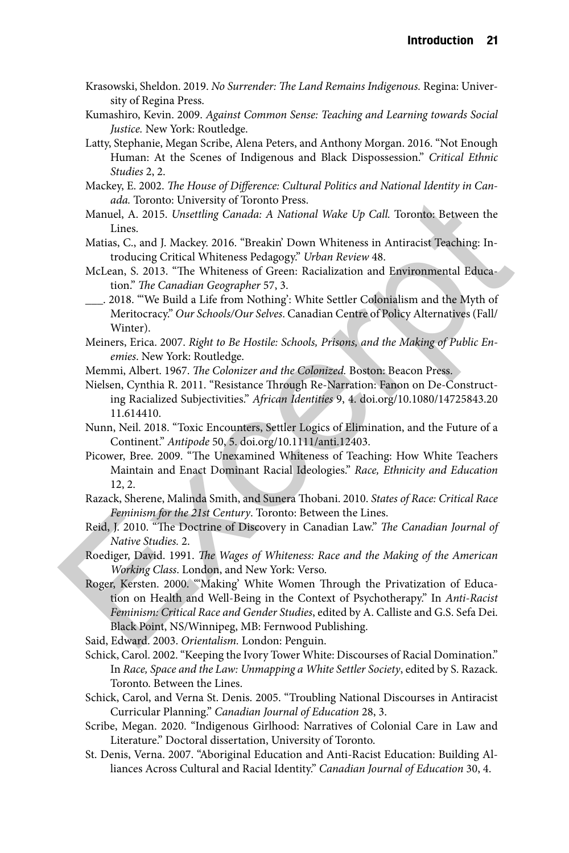- Krasowski, Sheldon. 2019. *No Surrender: The Land Remains Indigenous.* Regina: University of Regina Press.
- Kumashiro, Kevin. 2009. *Against Common Sense: Teaching and Learning towards Social Justice.* New York: Routledge.
- Latty, Stephanie, Megan Scribe, Alena Peters, and Anthony Morgan. 2016. "Not Enough Human: At the Scenes of Indigenous and Black Dispossession." *Critical Ethnic Studies* 2, 2.
- Mackey, E. 2002. *The House of Difference: Cultural Politics and National Identity in Canada.* Toronto: University of Toronto Press.
- Manuel, A. 2015. *Unsettling Canada: A National Wake Up Call.* Toronto: Between the Lines.
- Matias, C., and J. Mackey. 2016. "Breakin' Down Whiteness in Antiracist Teaching: Introducing Critical Whiteness Pedagogy." *Urban Review* 48.
- McLean, S. 2013. "The Whiteness of Green: Racialization and Environmental Education." *The Canadian Geographer* 57, 3.
- \_\_\_. 2018. "'We Build a Life from Nothing': White Settler Colonialism and the Myth of Meritocracy." *Our Schools/Our Selves*. Canadian Centre of Policy Alternatives (Fall/ Winter).
- Meiners, Erica. 2007. *Right to Be Hostile: Schools, Prisons, and the Making of Public Enemies*. New York: Routledge.
- Memmi, Albert. 1967. *The Colonizer and the Colonized.* Boston: Beacon Press.
- Nielsen, Cynthia R. 2011. "Resistance Through Re-Narration: Fanon on De-Constructing Racialized Subjectivities." *African Identities* 9, 4. doi.org/10.1080/14725843.20 11.614410.
- Nunn, Neil. 2018. "Toxic Encounters, Settler Logics of Elimination, and the Future of a Continent." *Antipode* 50, 5. doi.org/10.1111/anti.12403.
- Picower, Bree. 2009. "The Unexamined Whiteness of Teaching: How White Teachers Maintain and Enact Dominant Racial Ideologies." *Race, Ethnicity and Education* 12, 2.
- Razack, Sherene, Malinda Smith, and Sunera Thobani. 2010. *States of Race: Critical Race Feminism for the 21st Century*. Toronto: Between the Lines.
- Reid, J. 2010. "The Doctrine of Discovery in Canadian Law." *The Canadian Journal of Native Studies.* 2.

Roediger, David. 1991. *The Wages of Whiteness: Race and the Making of the American Working Class*. London, and New York: Verso.

Roger, Kersten. 2000. "'Making' White Women Through the Privatization of Education on Health and Well-Being in the Context of Psychotherapy." In *Anti-Racist Feminism: Critical Race and Gender Studies*, edited by A. Calliste and G.S. Sefa Dei. Black Point, NS/Winnipeg, MB: Fernwood Publishing. *ada*. Toronto: University of Toronto Press.<br>
Manuel, A. 2015. Unsettling Canada: A National Wake Up Call. Toronto: Between the<br>
Lines.<br>
Matas, C., and J. Mackey. 2018. "Freeckin' Down Whiteness in Antiracist Teaching: In

Said, Edward. 2003. *Orientalism.* London: Penguin.

- Schick, Carol. 2002. "Keeping the Ivory Tower White: Discourses of Racial Domination." In *Race, Space and the Law: Unmapping a White Settler Society*, edited by S. Razack. Toronto. Between the Lines.
- Schick, Carol, and Verna St. Denis. 2005. "Troubling National Discourses in Antiracist Curricular Planning." *Canadian Journal of Education* 28, 3.
- Scribe, Megan. 2020. "Indigenous Girlhood: Narratives of Colonial Care in Law and Literature." Doctoral dissertation, University of Toronto.
- St. Denis, Verna. 2007. "Aboriginal Education and Anti-Racist Education: Building Alliances Across Cultural and Racial Identity." *Canadian Journal of Education* 30, 4.